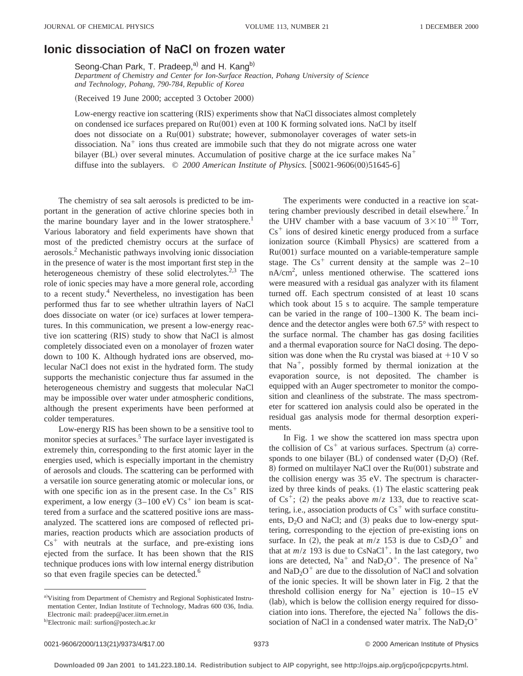## **Ionic dissociation of NaCl on frozen water**

Seong-Chan Park, T. Pradeep,<sup>a)</sup> and H. Kang<sup>b)</sup>

*Department of Chemistry and Center for Ion-Surface Reaction, Pohang University of Science and Technology, Pohang, 790-784, Republic of Korea*

(Received 19 June 2000; accepted 3 October 2000)

Low-energy reactive ion scattering (RIS) experiments show that NaCl dissociates almost completely on condensed ice surfaces prepared on  $Ru(001)$  even at 100 K forming solvated ions. NaCl by itself does not dissociate on a Ru(001) substrate; however, submonolayer coverages of water sets-in dissociation. Na<sup> $+$ </sup> ions thus created are immobile such that they do not migrate across one water bilayer (BL) over several minutes. Accumulation of positive charge at the ice surface makes  $Na<sup>+</sup>$ diffuse into the sublayers.  $\odot$  2000 American Institute of Physics. [S0021-9606(00)51645-6]

The chemistry of sea salt aerosols is predicted to be important in the generation of active chlorine species both in the marine boundary layer and in the lower stratosphere.<sup>1</sup> Various laboratory and field experiments have shown that most of the predicted chemistry occurs at the surface of aerosols.2 Mechanistic pathways involving ionic dissociation in the presence of water is the most important first step in the heterogeneous chemistry of these solid electrolytes.<sup>2,3</sup> The role of ionic species may have a more general role, according to a recent study.<sup>4</sup> Nevertheless, no investigation has been performed thus far to see whether ultrathin layers of NaCl does dissociate on water (or ice) surfaces at lower temperatures. In this communication, we present a low-energy reactive ion scattering (RIS) study to show that NaCl is almost completely dissociated even on a monolayer of frozen water down to 100 K. Although hydrated ions are observed, molecular NaCl does not exist in the hydrated form. The study supports the mechanistic conjecture thus far assumed in the heterogeneous chemistry and suggests that molecular NaCl may be impossible over water under atmospheric conditions, although the present experiments have been performed at colder temperatures.

Low-energy RIS has been shown to be a sensitive tool to monitor species at surfaces.<sup>5</sup> The surface layer investigated is extremely thin, corresponding to the first atomic layer in the energies used, which is especially important in the chemistry of aerosols and clouds. The scattering can be performed with a versatile ion source generating atomic or molecular ions, or with one specific ion as in the present case. In the  $Cs<sup>+</sup> RIS$ experiment, a low energy  $(3-100 \text{ eV}) \text{Cs}^+$  ion beam is scattered from a surface and the scattered positive ions are massanalyzed. The scattered ions are composed of reflected primaries, reaction products which are association products of  $Cs<sup>+</sup>$  with neutrals at the surface, and pre-existing ions ejected from the surface. It has been shown that the RIS technique produces ions with low internal energy distribution so that even fragile species can be detected.<sup>6</sup>

The experiments were conducted in a reactive ion scattering chamber previously described in detail elsewhere.<sup>7</sup> In the UHV chamber with a base vacuum of  $3 \times 10^{-10}$  Torr,  $Cs<sup>+</sup>$  ions of desired kinetic energy produced from a surface ionization source (Kimball Physics) are scattered from a  $Ru(001)$  surface mounted on a variable-temperature sample stage. The  $Cs<sup>+</sup>$  current density at the sample was  $2-10$ nA/cm2 , unless mentioned otherwise. The scattered ions were measured with a residual gas analyzer with its filament turned off. Each spectrum consisted of at least 10 scans which took about 15 s to acquire. The sample temperature can be varied in the range of 100–1300 K. The beam incidence and the detector angles were both 67.5° with respect to the surface normal. The chamber has gas dosing facilities and a thermal evaporation source for NaCl dosing. The deposition was done when the Ru crystal was biased at  $+10$  V so that  $Na<sup>+</sup>$ , possibly formed by thermal ionization at the evaporation source, is not deposited. The chamber is equipped with an Auger spectrometer to monitor the composition and cleanliness of the substrate. The mass spectrometer for scattered ion analysis could also be operated in the residual gas analysis mode for thermal desorption experiments.

In Fig. 1 we show the scattered ion mass spectra upon the collision of  $Cs<sup>+</sup>$  at various surfaces. Spectrum (a) corresponds to one bilayer  $(BL)$  of condensed water  $(D<sub>2</sub>O)$  (Ref. 8) formed on multilayer NaCl over the  $Ru(001)$  substrate and the collision energy was 35 eV. The spectrum is characterized by three kinds of peaks.  $(1)$  The elastic scattering peak of  $Cs^+$ ; (2) the peaks above  $m/z$  133, due to reactive scattering, i.e., association products of  $Cs<sup>+</sup>$  with surface constituents,  $D_2O$  and NaCl; and (3) peaks due to low-energy sputtering, corresponding to the ejection of pre-existing ions on surface. In (2), the peak at  $m/z$  153 is due to  $CsD_2O^+$  and that at  $m/z$  193 is due to CsNaCl<sup>+</sup>. In the last category, two ions are detected,  $Na<sup>+</sup>$  and  $NaD<sub>2</sub>O<sup>+</sup>$ . The presence of  $Na<sup>+</sup>$ and  $\text{NaD}_2\text{O}^+$  are due to the dissolution of NaCl and solvation of the ionic species. It will be shown later in Fig. 2 that the threshold collision energy for  $Na<sup>+</sup>$  ejection is 10–15 eV (lab), which is below the collision energy required for dissociation into ions. Therefore, the ejected  $Na<sup>+</sup>$  follows the dissociation of NaCl in a condensed water matrix. The  $NaD<sub>2</sub>O<sup>+</sup>$ 

a)Visiting from Department of Chemistry and Regional Sophisticated Instrumentation Center, Indian Institute of Technology, Madras 600 036, India. Electronic mail: pradeep@acer.iitm.ernet.in

b)Electronic mail: surfion@postech.ac.kr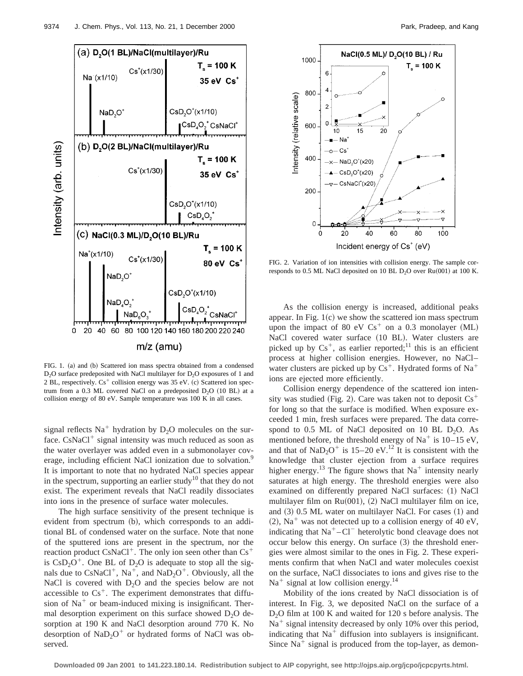

FIG. 1. (a) and (b) Scattered ion mass spectra obtained from a condensed  $D_2O$  surface predeposited with NaCl multilayer for  $D_2O$  exposures of 1 and 2 BL, respectively.  $Cs^+$  collision energy was 35 eV. (c) Scattered ion spectrum from a 0.3 ML covered NaCl on a predeposited  $D_2O$  (10 BL) at a collision energy of 80 eV. Sample temperature was 100 K in all cases.

signal reflects  $Na<sup>+</sup>$  hydration by  $D<sub>2</sub>O$  molecules on the surface.  $CsNaCl<sup>+</sup>$  signal intensity was much reduced as soon as the water overlayer was added even in a submonolayer coverage, including efficient NaCl ionization due to solvation.<sup>9</sup> It is important to note that no hydrated NaCl species appear in the spectrum, supporting an earlier study<sup>10</sup> that they do not exist. The experiment reveals that NaCl readily dissociates into ions in the presence of surface water molecules.

The high surface sensitivity of the present technique is evident from spectrum (b), which corresponds to an additional BL of condensed water on the surface. Note that none of the sputtered ions are present in the spectrum, nor the reaction product  $CsNaCl<sup>+</sup>$ . The only ion seen other than  $Cs<sup>+</sup>$ is  $CSD<sub>2</sub>O<sup>+</sup>$ . One BL of D<sub>2</sub>O is adequate to stop all the signals due to  $CsNaCl<sup>+</sup>$ , Na<sup>+</sup>, and NaD<sub>2</sub>O<sup>+</sup>. Obviously, all the NaCl is covered with  $D_2O$  and the species below are not accessible to  $Cs<sup>+</sup>$ . The experiment demonstrates that diffusion of  $Na<sup>+</sup>$  or beam-induced mixing is insignificant. Thermal desorption experiment on this surface showed  $D_2O$  desorption at 190 K and NaCl desorption around 770 K. No desorption of  $NaD<sub>2</sub>O<sup>+</sup>$  or hydrated forms of NaCl was observed.



FIG. 2. Variation of ion intensities with collision energy. The sample corresponds to 0.5 ML NaCl deposited on 10 BL  $D_2O$  over Ru(001) at 100 K.

As the collision energy is increased, additional peaks appear. In Fig.  $1(c)$  we show the scattered ion mass spectrum upon the impact of 80 eV  $Cs<sup>+</sup>$  on a 0.3 monolayer (ML) NaCl covered water surface (10 BL). Water clusters are picked up by  $Cs^+$ , as earlier reported;<sup>11</sup> this is an efficient process at higher collision energies. However, no NaCl– water clusters are picked up by  $Cs<sup>+</sup>$ . Hydrated forms of Na<sup>+</sup> ions are ejected more efficiently.

Collision energy dependence of the scattered ion intensity was studied (Fig. 2). Care was taken not to deposit  $Cs<sup>+</sup>$ for long so that the surface is modified. When exposure exceeded 1 min, fresh surfaces were prepared. The data correspond to  $0.5$  ML of NaCl deposited on 10 BL D<sub>2</sub>O. As mentioned before, the threshold energy of  $Na<sup>+</sup>$  is 10–15 eV, and that of NaD<sub>2</sub>O<sup>+</sup> is 15–20 eV.<sup>12</sup> It is consistent with the knowledge that cluster ejection from a surface requires higher energy.<sup>13</sup> The figure shows that  $Na<sup>+</sup>$  intensity nearly saturates at high energy. The threshold energies were also examined on differently prepared NaCl surfaces: (1) NaCl multilayer film on  $Ru(001)$ , (2) NaCl multilayer film on ice, and  $(3)$  0.5 ML water on multilayer NaCl. For cases  $(1)$  and  $(2)$ , Na<sup>+</sup> was not detected up to a collision energy of 40 eV, indicating that  $Na<sup>+</sup>-Cl<sup>-</sup>$  heterolytic bond cleavage does not occur below this energy. On surface  $(3)$  the threshold energies were almost similar to the ones in Fig. 2. These experiments confirm that when NaCl and water molecules coexist on the surface, NaCl dissociates to ions and gives rise to the  $Na<sup>+</sup>$  signal at low collision energy.<sup>14</sup>

Mobility of the ions created by NaCl dissociation is of interest. In Fig. 3, we deposited NaCl on the surface of a D<sub>2</sub>O film at 100 K and waited for 120 s before analysis. The  $Na<sup>+</sup>$  signal intensity decreased by only 10% over this period, indicating that  $Na<sup>+</sup>$  diffusion into sublayers is insignificant. Since  $Na<sup>+</sup>$  signal is produced from the top-layer, as demon-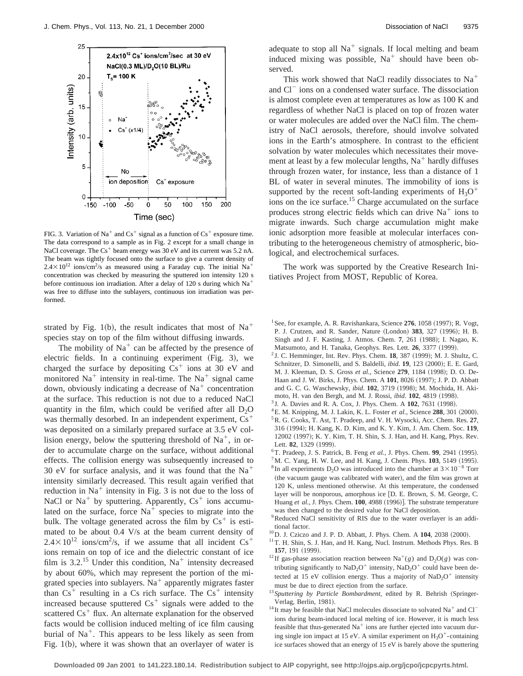

FIG. 3. Variation of Na<sup>+</sup> and Cs<sup>+</sup> signal as a function of Cs<sup>+</sup> exposure time. The data correspond to a sample as in Fig. 2 except for a small change in NaCl coverage. The  $Cs<sup>+</sup>$  beam energy was 30 eV and its current was 5.2 nA. The beam was tightly focused onto the surface to give a current density of  $2.4 \times 10^{12}$  ions/cm<sup>2</sup>/s as measured using a Faraday cup. The initial Na<sup>+</sup> concentration was checked by measuring the sputtered ion intensity 120 s before continuous ion irradiation. After a delay of 120 s during which  $Na<sup>+</sup>$ was free to diffuse into the sublayers, continuous ion irradiation was performed.

strated by Fig. 1(b), the result indicates that most of Na<sup>+</sup> species stay on top of the film without diffusing inwards.

The mobility of  $Na<sup>+</sup>$  can be affected by the presence of electric fields. In a continuing experiment  $(Fig. 3)$ , we charged the surface by depositing  $Cs<sup>+</sup>$  ions at 30 eV and monitored  $Na<sup>+</sup>$  intensity in real-time. The  $Na<sup>+</sup>$  signal came down, obviously indicating a decrease of  $Na<sup>+</sup>$  concentration at the surface. This reduction is not due to a reduced NaCl quantity in the film, which could be verified after all  $D_2O$ was thermally desorbed. In an independent experiment,  $Cs<sup>+</sup>$ was deposited on a similarly prepared surface at 3.5 eV collision energy, below the sputtering threshold of  $Na<sup>+</sup>$ , in order to accumulate charge on the surface, without additional effects. The collision energy was subsequently increased to 30 eV for surface analysis, and it was found that the  $Na<sup>+</sup>$ intensity similarly decreased. This result again verified that reduction in  $Na<sup>+</sup>$  intensity in Fig. 3 is not due to the loss of NaCl or  $Na<sup>+</sup>$  by sputtering. Apparently,  $Cs<sup>+</sup>$  ions accumulated on the surface, force  $Na<sup>+</sup>$  species to migrate into the bulk. The voltage generated across the film by  $Cs^+$  is estimated to be about 0.4 V/s at the beam current density of  $2.4 \times 10^{12}$  ions/cm<sup>2</sup>/s, if we assume that all incident Cs<sup>+</sup> ions remain on top of ice and the dielectric constant of ice film is 3.2.<sup>15</sup> Under this condition,  $Na<sup>+</sup>$  intensity decreased by about 60%, which may represent the portion of the migrated species into sublayers.  $Na<sup>+</sup>$  apparently migrates faster than  $Cs^+$  resulting in a Cs rich surface. The  $Cs^+$  intensity increased because sputtered  $Cs<sup>+</sup>$  signals were added to the scattered  $Cs<sup>+</sup>$  flux. An alternate explanation for the observed facts would be collision induced melting of ice film causing burial of  $Na<sup>+</sup>$ . This appears to be less likely as seen from Fig.  $1(b)$ , where it was shown that an overlayer of water is

adequate to stop all  $Na<sup>+</sup>$  signals. If local melting and beam induced mixing was possible,  $Na<sup>+</sup>$  should have been observed.

This work showed that NaCl readily dissociates to  $Na<sup>+</sup>$ and Cl<sup>-</sup> ions on a condensed water surface. The dissociation is almost complete even at temperatures as low as 100 K and regardless of whether NaCl is placed on top of frozen water or water molecules are added over the NaCl film. The chemistry of NaCl aerosols, therefore, should involve solvated ions in the Earth's atmosphere. In contrast to the efficient solvation by water molecules which necessitates their movement at least by a few molecular lengths,  $Na<sup>+</sup>$  hardly diffuses through frozen water, for instance, less than a distance of 1 BL of water in several minutes. The immobility of ions is supported by the recent soft-landing experiments of  $H_3O^+$ ions on the ice surface.<sup>15</sup> Charge accumulated on the surface produces strong electric fields which can drive  $Na<sup>+</sup>$  ions to migrate inwards. Such charge accumulation might make ionic adsorption more feasible at molecular interfaces contributing to the heterogeneous chemistry of atmospheric, biological, and electrochemical surfaces.

The work was supported by the Creative Research Initiatives Project from MOST, Republic of Korea.

- <sup>1</sup> See, for example, A. R. Ravishankara, Science 276, 1058 (1997); R. Vogt, P. J. Crutzen, and R. Sander, Nature (London) 383, 327 (1996); H. B. Singh and J. F. Kasting, J. Atmos. Chem. 7, 261 (1988); I. Nagao, K. Matsumoto, and H. Tanaka, Geophys. Res. Lett. **26**, 3377 (1999).
- <sup>2</sup> J. C. Hemminger, Int. Rev. Phys. Chem. **18**, 387 (1999); M. J. Shultz, C. Schnitzer, D. Simonelli, and S. Baldelli, *ibid*. **19**, 123 (2000); E. E. Gard, M. J. Kleeman, D. S. Gross et al., Science 279, 1184 (1998); D. O. De-Haan and J. W. Birks, J. Phys. Chem. A 101, 8026 (1997); J. P. D. Abbatt and G. C. G. Waschewsky, *ibid.* **102**, 3719 (1998); M. Mochida, H. Akimoto, H. van den Bergh, and M. J. Rossi, *ibid.* **102**, 4819 (1998).
- <sup>3</sup> J. A. Davies and R. A. Cox, J. Phys. Chem. A **102**, 7631 (1998).
- <sup>4</sup>E. M. Knipping, M. J. Lakin, K. L. Foster et al., Science 288, 301 (2000). 5R. G. Cooks, T. Ast, T. Pradeep, and V. H. Wysocki, Acc. Chem. Res. **27**, 316 ~1994!; H. Kang, K. D. Kim, and K. Y. Kim, J. Am. Chem. Soc. **119**, 12002 (1997); K. Y. Kim, T. H. Shin, S. J. Han, and H. Kang, Phys. Rev. Lett. **82.** 1329 (1999).
- ${}^{6}$ T. Pradeep, J. S. Patrick, B. Feng *et al.*, J. Phys. Chem. **99**, 2941 (1995).
- ${}^{7}$ M. C. Yang, H. W. Lee, and H. Kang, J. Chem. Phys.  $103$ , 5149 (1995). <sup>8</sup> In all experiments D<sub>2</sub>O was introduced into the chamber at  $3 \times 10^{-8}$  Torr (the vacuum gauge was calibrated with water), and the film was grown at 120 K, unless mentioned otherwise. At this temperature, the condensed layer will be nonporous, amorphous ice [D. E. Brown, S. M. George, C. Huang et al., J. Phys. Chem. 100, 4988 (1996)]. The substrate temperature was then changed to the desired value for NaCl deposition.
- <sup>9</sup>Reduced NaCl sensitivity of RIS due to the water overlayer is an additional factor.
- $^{10}$ D. J. Cziczo and J. P. D. Abbatt, J. Phys. Chem. A  $104$ , 2038 (2000).
- <sup>11</sup>T. H. Shin, S. J. Han, and H. Kang, Nucl. Instrum. Methods Phys. Res. B **157**, 191 (1999).
- <sup>12</sup>If gas-phase association reaction between Na<sup>+</sup>(g) and D<sub>2</sub>O(g) was contributing significantly to  $\text{NaD}_2\text{O}^+$  intensity,  $\text{NaD}_2\text{O}^+$  could have been detected at 15 eV collision energy. Thus a majority of  $\text{NaD}_2\text{O}^+$  intensity must be due to direct ejection from the surface.
- <sup>13</sup> Sputtering by Particle Bombardment, edited by R. Behrish (Springer-Verlag, Berlin, 1981).
- <sup>14</sup> It may be feasible that NaCl molecules dissociate to solvated Na<sup>+</sup> and Cl<sup>-</sup> ions during beam-induced local melting of ice. However, it is much less feasible that thus-generated  $Na<sup>+</sup>$  ions are further ejected into vacuum during single ion impact at 15 eV. A similar experiment on  $H_3O^+$ -containing ice surfaces showed that an energy of 15 eV is barely above the sputtering